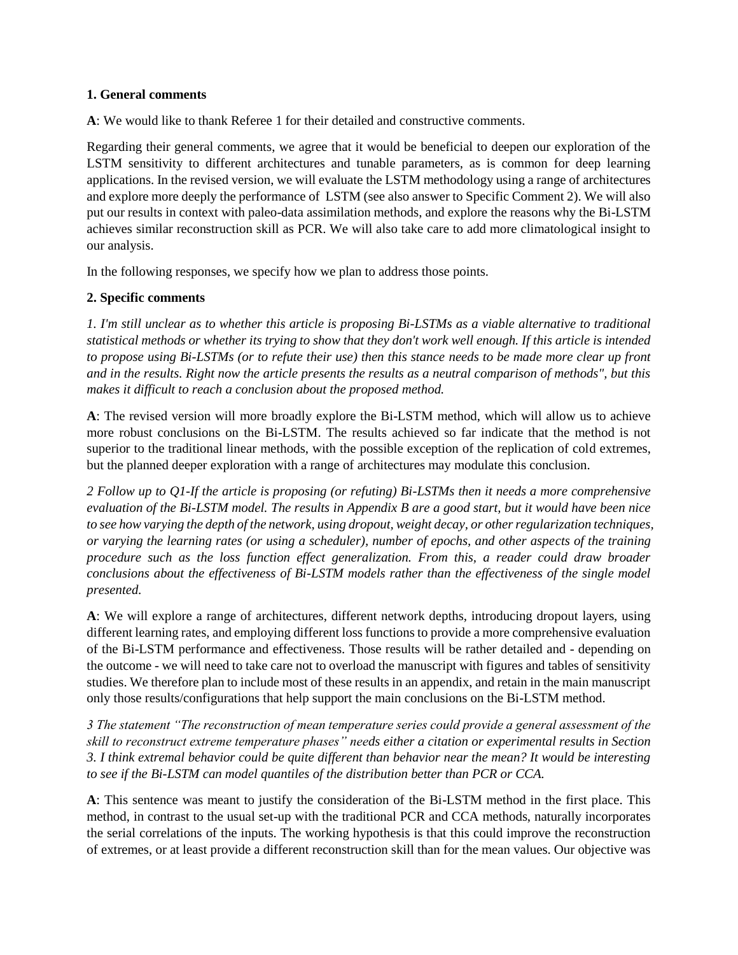## **1. General comments**

**A**: We would like to thank Referee 1 for their detailed and constructive comments.

Regarding their general comments, we agree that it would be beneficial to deepen our exploration of the LSTM sensitivity to different architectures and tunable parameters, as is common for deep learning applications. In the revised version, we will evaluate the LSTM methodology using a range of architectures and explore more deeply the performance of LSTM (see also answer to Specific Comment 2). We will also put our results in context with paleo-data assimilation methods, and explore the reasons why the Bi-LSTM achieves similar reconstruction skill as PCR. We will also take care to add more climatological insight to our analysis.

In the following responses, we specify how we plan to address those points.

## **2. Specific comments**

*1. I'm still unclear as to whether this article is proposing Bi-LSTMs as a viable alternative to traditional statistical methods or whether its trying to show that they don't work well enough. If this article is intended to propose using Bi-LSTMs (or to refute their use) then this stance needs to be made more clear up front and in the results. Right now the article presents the results as a neutral comparison of methods", but this makes it difficult to reach a conclusion about the proposed method.*

**A**: The revised version will more broadly explore the Bi-LSTM method, which will allow us to achieve more robust conclusions on the Bi-LSTM. The results achieved so far indicate that the method is not superior to the traditional linear methods, with the possible exception of the replication of cold extremes, but the planned deeper exploration with a range of architectures may modulate this conclusion.

*2 Follow up to Q1-If the article is proposing (or refuting) Bi-LSTMs then it needs a more comprehensive evaluation of the Bi-LSTM model. The results in Appendix B are a good start, but it would have been nice to see how varying the depth of the network, using dropout, weight decay, or other regularization techniques, or varying the learning rates (or using a scheduler), number of epochs, and other aspects of the training procedure such as the loss function effect generalization. From this, a reader could draw broader conclusions about the effectiveness of Bi-LSTM models rather than the effectiveness of the single model presented.*

**A**: We will explore a range of architectures, different network depths, introducing dropout layers, using different learning rates, and employing different loss functions to provide a more comprehensive evaluation of the Bi-LSTM performance and effectiveness. Those results will be rather detailed and - depending on the outcome - we will need to take care not to overload the manuscript with figures and tables of sensitivity studies. We therefore plan to include most of these results in an appendix, and retain in the main manuscript only those results/configurations that help support the main conclusions on the Bi-LSTM method.

*3 The statement "The reconstruction of mean temperature series could provide a general assessment of the skill to reconstruct extreme temperature phases" needs either a citation or experimental results in Section 3. I think extremal behavior could be quite different than behavior near the mean? It would be interesting to see if the Bi-LSTM can model quantiles of the distribution better than PCR or CCA.*

**A**: This sentence was meant to justify the consideration of the Bi-LSTM method in the first place. This method, in contrast to the usual set-up with the traditional PCR and CCA methods, naturally incorporates the serial correlations of the inputs. The working hypothesis is that this could improve the reconstruction of extremes, or at least provide a different reconstruction skill than for the mean values. Our objective was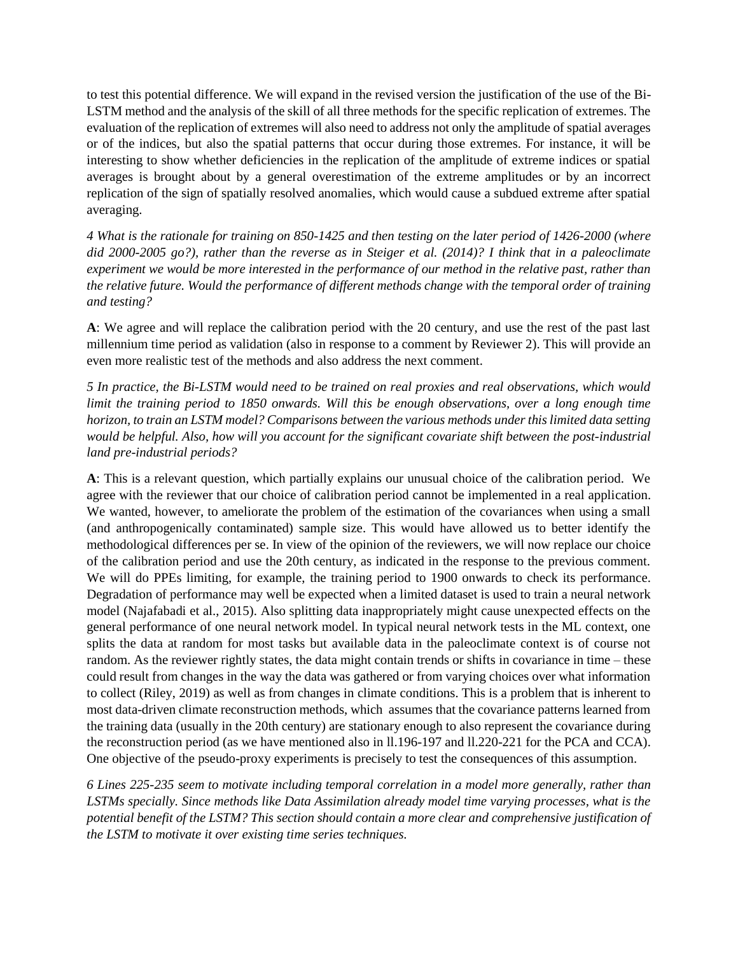to test this potential difference. We will expand in the revised version the justification of the use of the Bi-LSTM method and the analysis of the skill of all three methods for the specific replication of extremes. The evaluation of the replication of extremes will also need to address not only the amplitude of spatial averages or of the indices, but also the spatial patterns that occur during those extremes. For instance, it will be interesting to show whether deficiencies in the replication of the amplitude of extreme indices or spatial averages is brought about by a general overestimation of the extreme amplitudes or by an incorrect replication of the sign of spatially resolved anomalies, which would cause a subdued extreme after spatial averaging.

*4 What is the rationale for training on 850-1425 and then testing on the later period of 1426-2000 (where did 2000-2005 go?), rather than the reverse as in Steiger et al. (2014)? I think that in a paleoclimate experiment we would be more interested in the performance of our method in the relative past, rather than the relative future. Would the performance of different methods change with the temporal order of training and testing?*

**A**: We agree and will replace the calibration period with the 20 century, and use the rest of the past last millennium time period as validation (also in response to a comment by Reviewer 2). This will provide an even more realistic test of the methods and also address the next comment.

*5 In practice, the Bi-LSTM would need to be trained on real proxies and real observations, which would limit the training period to 1850 onwards. Will this be enough observations, over a long enough time horizon, to train an LSTM model? Comparisons between the various methods under this limited data setting would be helpful. Also, how will you account for the significant covariate shift between the post-industrial land pre-industrial periods?*

**A**: This is a relevant question, which partially explains our unusual choice of the calibration period. We agree with the reviewer that our choice of calibration period cannot be implemented in a real application. We wanted, however, to ameliorate the problem of the estimation of the covariances when using a small (and anthropogenically contaminated) sample size. This would have allowed us to better identify the methodological differences per se. In view of the opinion of the reviewers, we will now replace our choice of the calibration period and use the 20th century, as indicated in the response to the previous comment. We will do PPEs limiting, for example, the training period to 1900 onwards to check its performance. Degradation of performance may well be expected when a limited dataset is used to train a neural network model (Najafabadi et al., 2015). Also splitting data inappropriately might cause unexpected effects on the general performance of one neural network model. In typical neural network tests in the ML context, one splits the data at random for most tasks but available data in the paleoclimate context is of course not random. As the reviewer rightly states, the data might contain trends or shifts in covariance in time – these could result from changes in the way the data was gathered or from varying choices over what information to collect (Riley, 2019) as well as from changes in climate conditions. This is a problem that is inherent to most data-driven climate reconstruction methods, which assumes that the covariance patterns learned from the training data (usually in the 20th century) are stationary enough to also represent the covariance during the reconstruction period (as we have mentioned also in ll.196-197 and ll.220-221 for the PCA and CCA). One objective of the pseudo-proxy experiments is precisely to test the consequences of this assumption.

*6 Lines 225-235 seem to motivate including temporal correlation in a model more generally, rather than LSTMs specially. Since methods like Data Assimilation already model time varying processes, what is the potential benefit of the LSTM? This section should contain a more clear and comprehensive justification of the LSTM to motivate it over existing time series techniques.*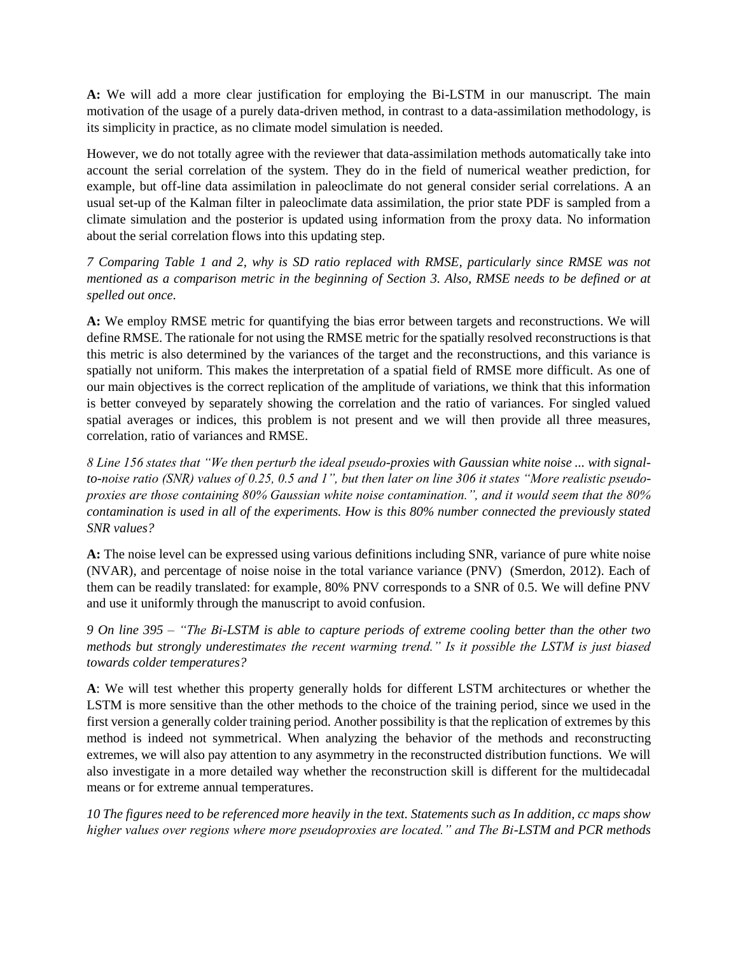**A:** We will add a more clear justification for employing the Bi-LSTM in our manuscript. The main motivation of the usage of a purely data-driven method, in contrast to a data-assimilation methodology, is its simplicity in practice, as no climate model simulation is needed.

However, we do not totally agree with the reviewer that data-assimilation methods automatically take into account the serial correlation of the system. They do in the field of numerical weather prediction, for example, but off-line data assimilation in paleoclimate do not general consider serial correlations. A an usual set-up of the Kalman filter in paleoclimate data assimilation, the prior state PDF is sampled from a climate simulation and the posterior is updated using information from the proxy data. No information about the serial correlation flows into this updating step.

*7 Comparing Table 1 and 2, why is SD ratio replaced with RMSE, particularly since RMSE was not mentioned as a comparison metric in the beginning of Section 3. Also, RMSE needs to be defined or at spelled out once.*

**A:** We employ RMSE metric for quantifying the bias error between targets and reconstructions. We will define RMSE. The rationale for not using the RMSE metric for the spatially resolved reconstructions is that this metric is also determined by the variances of the target and the reconstructions, and this variance is spatially not uniform. This makes the interpretation of a spatial field of RMSE more difficult. As one of our main objectives is the correct replication of the amplitude of variations, we think that this information is better conveyed by separately showing the correlation and the ratio of variances. For singled valued spatial averages or indices, this problem is not present and we will then provide all three measures, correlation, ratio of variances and RMSE.

*8 Line 156 states that "We then perturb the ideal pseudo-proxies with Gaussian white noise ... with signalto-noise ratio (SNR) values of 0.25, 0.5 and 1", but then later on line 306 it states "More realistic pseudoproxies are those containing 80% Gaussian white noise contamination.", and it would seem that the 80% contamination is used in all of the experiments. How is this 80% number connected the previously stated SNR values?*

**A:** The noise level can be expressed using various definitions including SNR, variance of pure white noise (NVAR), and percentage of noise noise in the total variance variance (PNV) (Smerdon, 2012). Each of them can be readily translated: for example, 80% PNV corresponds to a SNR of 0.5. We will define PNV and use it uniformly through the manuscript to avoid confusion.

*9 On line 395 – "The Bi-LSTM is able to capture periods of extreme cooling better than the other two methods but strongly underestimates the recent warming trend." Is it possible the LSTM is just biased towards colder temperatures?*

**A**: We will test whether this property generally holds for different LSTM architectures or whether the LSTM is more sensitive than the other methods to the choice of the training period, since we used in the first version a generally colder training period. Another possibility is that the replication of extremes by this method is indeed not symmetrical. When analyzing the behavior of the methods and reconstructing extremes, we will also pay attention to any asymmetry in the reconstructed distribution functions. We will also investigate in a more detailed way whether the reconstruction skill is different for the multidecadal means or for extreme annual temperatures.

*10 The figures need to be referenced more heavily in the text. Statements such as In addition, cc maps show higher values over regions where more pseudoproxies are located." and The Bi-LSTM and PCR methods*